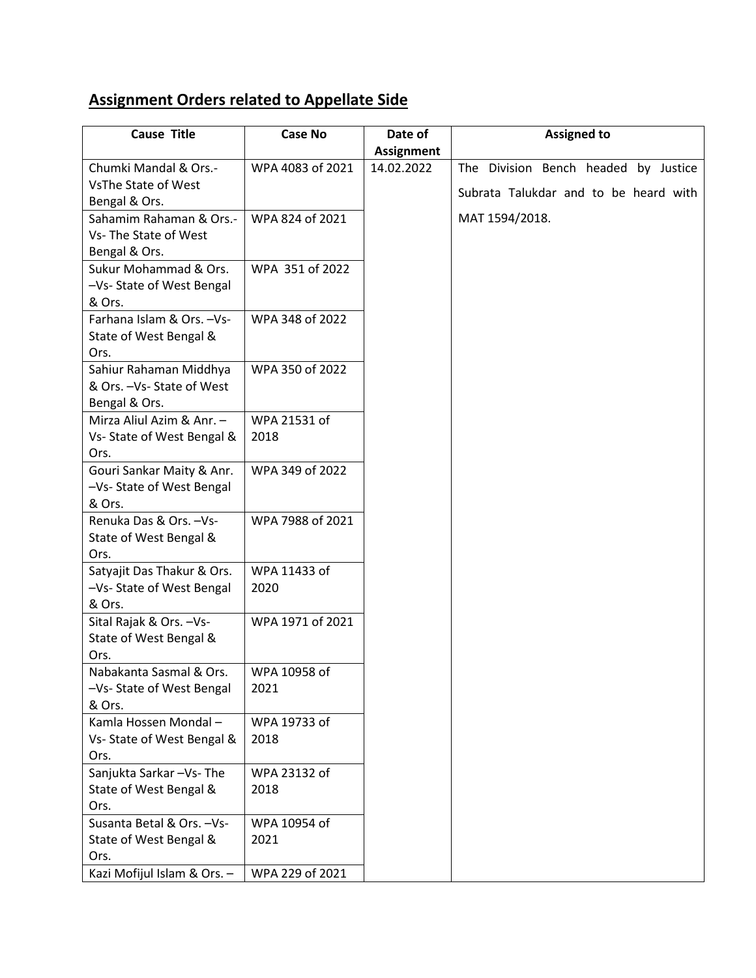## **Assignment Orders related to Appellate Side**

| <b>Cause Title</b>          | <b>Case No</b>   | Date of           | <b>Assigned to</b>                    |
|-----------------------------|------------------|-------------------|---------------------------------------|
|                             |                  | <b>Assignment</b> |                                       |
| Chumki Mandal & Ors.-       | WPA 4083 of 2021 | 14.02.2022        | The Division Bench headed by Justice  |
| VsThe State of West         |                  |                   | Subrata Talukdar and to be heard with |
| Bengal & Ors.               |                  |                   |                                       |
| Sahamim Rahaman & Ors.-     | WPA 824 of 2021  |                   | MAT 1594/2018.                        |
| Vs-The State of West        |                  |                   |                                       |
| Bengal & Ors.               |                  |                   |                                       |
| Sukur Mohammad & Ors.       | WPA 351 of 2022  |                   |                                       |
| -Vs- State of West Bengal   |                  |                   |                                       |
| & Ors.                      |                  |                   |                                       |
| Farhana Islam & Ors. - Vs-  | WPA 348 of 2022  |                   |                                       |
| State of West Bengal &      |                  |                   |                                       |
| Ors.                        |                  |                   |                                       |
| Sahiur Rahaman Middhya      | WPA 350 of 2022  |                   |                                       |
| & Ors. - Vs- State of West  |                  |                   |                                       |
| Bengal & Ors.               |                  |                   |                                       |
| Mirza Aliul Azim & Anr. -   | WPA 21531 of     |                   |                                       |
| Vs-State of West Bengal &   | 2018             |                   |                                       |
| Ors.                        |                  |                   |                                       |
| Gouri Sankar Maity & Anr.   | WPA 349 of 2022  |                   |                                       |
| -Vs- State of West Bengal   |                  |                   |                                       |
| & Ors.                      |                  |                   |                                       |
| Renuka Das & Ors. - Vs-     | WPA 7988 of 2021 |                   |                                       |
| State of West Bengal &      |                  |                   |                                       |
| Ors.                        |                  |                   |                                       |
| Satyajit Das Thakur & Ors.  | WPA 11433 of     |                   |                                       |
| -Vs- State of West Bengal   | 2020             |                   |                                       |
| & Ors.                      |                  |                   |                                       |
| Sital Rajak & Ors. - Vs-    | WPA 1971 of 2021 |                   |                                       |
| State of West Bengal &      |                  |                   |                                       |
| Ors.                        |                  |                   |                                       |
| Nabakanta Sasmal & Ors.     | WPA 10958 of     |                   |                                       |
| -Vs- State of West Bengal   | 2021             |                   |                                       |
| & Ors.                      |                  |                   |                                       |
| Kamla Hossen Mondal-        | WPA 19733 of     |                   |                                       |
| Vs- State of West Bengal &  | 2018             |                   |                                       |
| Ors.                        |                  |                   |                                       |
| Sanjukta Sarkar-Vs-The      | WPA 23132 of     |                   |                                       |
| State of West Bengal &      | 2018             |                   |                                       |
| Ors.                        |                  |                   |                                       |
| Susanta Betal & Ors. - Vs-  | WPA 10954 of     |                   |                                       |
| State of West Bengal &      | 2021             |                   |                                       |
| Ors.                        |                  |                   |                                       |
| Kazi Mofijul Islam & Ors. - | WPA 229 of 2021  |                   |                                       |